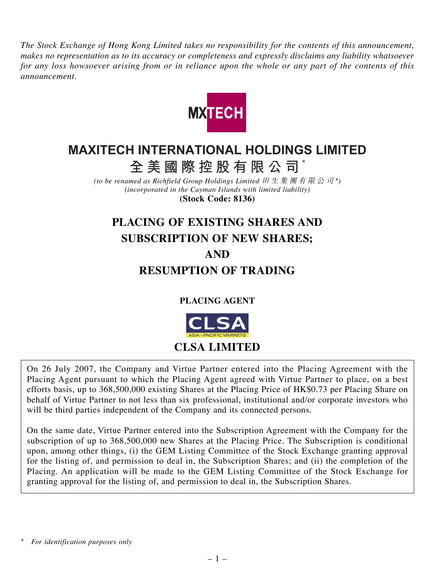*The Stock Exchange of Hong Kong Limited takes no responsibility for the contents of this announcement, makes no representation as to its accuracy or completeness and expressly disclaims any liability whatsoever for any loss howsoever arising from or in reliance upon the whole or any part of the contents of this announcement.*



# **MAXITECH INTERNATIONAL HOLDINGS LIMITED**

**全美國際控股有限公司** \*

*(to be renamed as Richfield Group Holdings Limited* 田生集團有限公司 *\*) (incorporated in the Cayman Islands with limited liability)* **(Stock Code: 8136)**

# **PLACING OF EXISTING SHARES AND SUBSCRIPTION OF NEW SHARES; AND RESUMPTION OF TRADING**

**PLACING AGENT**



On 26 July 2007, the Company and Virtue Partner entered into the Placing Agreement with the Placing Agent pursuant to which the Placing Agent agreed with Virtue Partner to place, on a best efforts basis, up to 368,500,000 existing Shares at the Placing Price of HK\$0.73 per Placing Share on behalf of Virtue Partner to not less than six professional, institutional and/or corporate investors who will be third parties independent of the Company and its connected persons.

On the same date, Virtue Partner entered into the Subscription Agreement with the Company for the subscription of up to 368,500,000 new Shares at the Placing Price. The Subscription is conditional upon, among other things, (i) the GEM Listing Committee of the Stock Exchange granting approval for the listing of, and permission to deal in, the Subscription Shares; and (ii) the completion of the Placing. An application will be made to the GEM Listing Committee of the Stock Exchange for granting approval for the listing of, and permission to deal in, the Subscription Shares.

*<sup>\*</sup> For identification purposes only*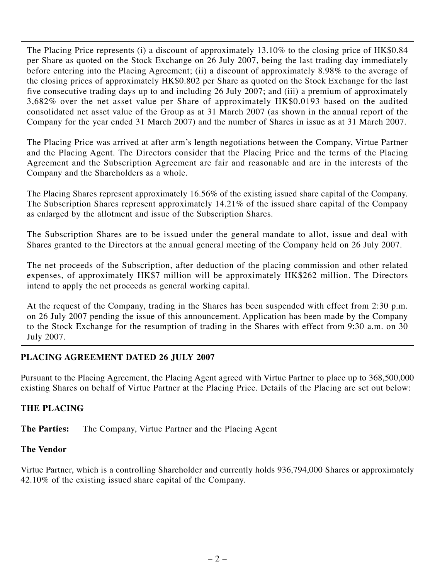The Placing Price represents (i) a discount of approximately 13.10% to the closing price of HK\$0.84 per Share as quoted on the Stock Exchange on 26 July 2007, being the last trading day immediately before entering into the Placing Agreement; (ii) a discount of approximately 8.98% to the average of the closing prices of approximately HK\$0.802 per Share as quoted on the Stock Exchange for the last five consecutive trading days up to and including 26 July 2007; and (iii) a premium of approximately 3,682% over the net asset value per Share of approximately HK\$0.0193 based on the audited consolidated net asset value of the Group as at 31 March 2007 (as shown in the annual report of the Company for the year ended 31 March 2007) and the number of Shares in issue as at 31 March 2007.

The Placing Price was arrived at after arm's length negotiations between the Company, Virtue Partner and the Placing Agent. The Directors consider that the Placing Price and the terms of the Placing Agreement and the Subscription Agreement are fair and reasonable and are in the interests of the Company and the Shareholders as a whole.

The Placing Shares represent approximately 16.56% of the existing issued share capital of the Company. The Subscription Shares represent approximately 14.21% of the issued share capital of the Company as enlarged by the allotment and issue of the Subscription Shares.

The Subscription Shares are to be issued under the general mandate to allot, issue and deal with Shares granted to the Directors at the annual general meeting of the Company held on 26 July 2007.

The net proceeds of the Subscription, after deduction of the placing commission and other related expenses, of approximately HK\$7 million will be approximately HK\$262 million. The Directors intend to apply the net proceeds as general working capital.

At the request of the Company, trading in the Shares has been suspended with effect from 2:30 p.m. on 26 July 2007 pending the issue of this announcement. Application has been made by the Company to the Stock Exchange for the resumption of trading in the Shares with effect from 9:30 a.m. on 30 July 2007.

# **PLACING AGREEMENT DATED 26 JULY 2007**

Pursuant to the Placing Agreement, the Placing Agent agreed with Virtue Partner to place up to 368,500,000 existing Shares on behalf of Virtue Partner at the Placing Price. Details of the Placing are set out below:

# **THE PLACING**

**The Parties:** The Company, Virtue Partner and the Placing Agent

#### **The Vendor**

Virtue Partner, which is a controlling Shareholder and currently holds 936,794,000 Shares or approximately 42.10% of the existing issued share capital of the Company.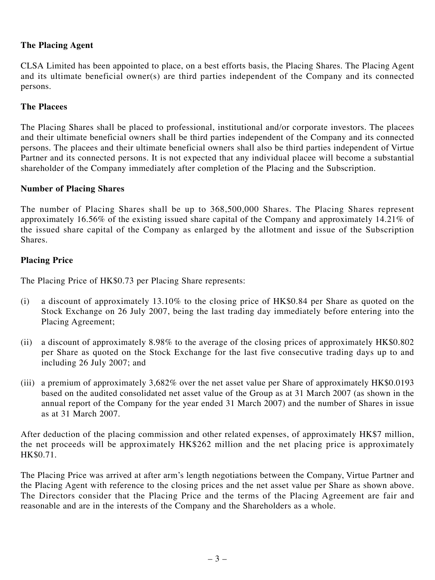# **The Placing Agent**

CLSA Limited has been appointed to place, on a best efforts basis, the Placing Shares. The Placing Agent and its ultimate beneficial owner(s) are third parties independent of the Company and its connected persons.

#### **The Placees**

The Placing Shares shall be placed to professional, institutional and/or corporate investors. The placees and their ultimate beneficial owners shall be third parties independent of the Company and its connected persons. The placees and their ultimate beneficial owners shall also be third parties independent of Virtue Partner and its connected persons. It is not expected that any individual placee will become a substantial shareholder of the Company immediately after completion of the Placing and the Subscription.

#### **Number of Placing Shares**

The number of Placing Shares shall be up to 368,500,000 Shares. The Placing Shares represent approximately 16.56% of the existing issued share capital of the Company and approximately 14.21% of the issued share capital of the Company as enlarged by the allotment and issue of the Subscription Shares.

#### **Placing Price**

The Placing Price of HK\$0.73 per Placing Share represents:

- (i) a discount of approximately 13.10% to the closing price of HK\$0.84 per Share as quoted on the Stock Exchange on 26 July 2007, being the last trading day immediately before entering into the Placing Agreement;
- (ii) a discount of approximately 8.98% to the average of the closing prices of approximately HK\$0.802 per Share as quoted on the Stock Exchange for the last five consecutive trading days up to and including 26 July 2007; and
- (iii) a premium of approximately 3,682% over the net asset value per Share of approximately HK\$0.0193 based on the audited consolidated net asset value of the Group as at 31 March 2007 (as shown in the annual report of the Company for the year ended 31 March 2007) and the number of Shares in issue as at 31 March 2007.

After deduction of the placing commission and other related expenses, of approximately HK\$7 million, the net proceeds will be approximately HK\$262 million and the net placing price is approximately HK\$0.71.

The Placing Price was arrived at after arm's length negotiations between the Company, Virtue Partner and the Placing Agent with reference to the closing prices and the net asset value per Share as shown above. The Directors consider that the Placing Price and the terms of the Placing Agreement are fair and reasonable and are in the interests of the Company and the Shareholders as a whole.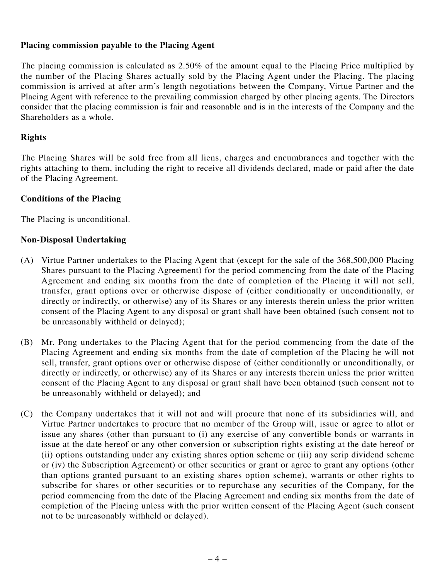#### **Placing commission payable to the Placing Agent**

The placing commission is calculated as 2.50% of the amount equal to the Placing Price multiplied by the number of the Placing Shares actually sold by the Placing Agent under the Placing. The placing commission is arrived at after arm's length negotiations between the Company, Virtue Partner and the Placing Agent with reference to the prevailing commission charged by other placing agents. The Directors consider that the placing commission is fair and reasonable and is in the interests of the Company and the Shareholders as a whole.

#### **Rights**

The Placing Shares will be sold free from all liens, charges and encumbrances and together with the rights attaching to them, including the right to receive all dividends declared, made or paid after the date of the Placing Agreement.

#### **Conditions of the Placing**

The Placing is unconditional.

#### **Non-Disposal Undertaking**

- (A) Virtue Partner undertakes to the Placing Agent that (except for the sale of the 368,500,000 Placing Shares pursuant to the Placing Agreement) for the period commencing from the date of the Placing Agreement and ending six months from the date of completion of the Placing it will not sell, transfer, grant options over or otherwise dispose of (either conditionally or unconditionally, or directly or indirectly, or otherwise) any of its Shares or any interests therein unless the prior written consent of the Placing Agent to any disposal or grant shall have been obtained (such consent not to be unreasonably withheld or delayed);
- (B) Mr. Pong undertakes to the Placing Agent that for the period commencing from the date of the Placing Agreement and ending six months from the date of completion of the Placing he will not sell, transfer, grant options over or otherwise dispose of (either conditionally or unconditionally, or directly or indirectly, or otherwise) any of its Shares or any interests therein unless the prior written consent of the Placing Agent to any disposal or grant shall have been obtained (such consent not to be unreasonably withheld or delayed); and
- (C) the Company undertakes that it will not and will procure that none of its subsidiaries will, and Virtue Partner undertakes to procure that no member of the Group will, issue or agree to allot or issue any shares (other than pursuant to (i) any exercise of any convertible bonds or warrants in issue at the date hereof or any other conversion or subscription rights existing at the date hereof or (ii) options outstanding under any existing shares option scheme or (iii) any scrip dividend scheme or (iv) the Subscription Agreement) or other securities or grant or agree to grant any options (other than options granted pursuant to an existing shares option scheme), warrants or other rights to subscribe for shares or other securities or to repurchase any securities of the Company, for the period commencing from the date of the Placing Agreement and ending six months from the date of completion of the Placing unless with the prior written consent of the Placing Agent (such consent not to be unreasonably withheld or delayed).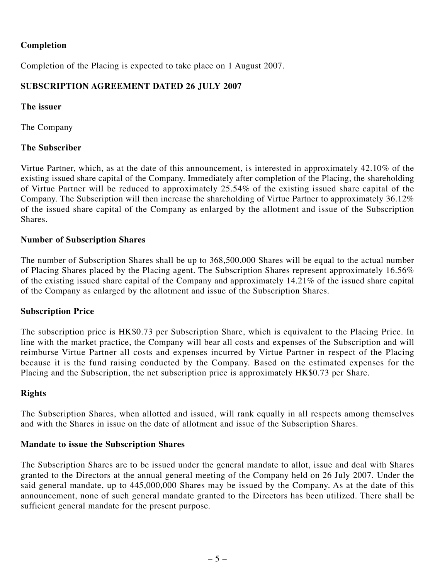# **Completion**

Completion of the Placing is expected to take place on 1 August 2007.

# **SUBSCRIPTION AGREEMENT DATED 26 JULY 2007**

#### **The issuer**

The Company

# **The Subscriber**

Virtue Partner, which, as at the date of this announcement, is interested in approximately 42.10% of the existing issued share capital of the Company. Immediately after completion of the Placing, the shareholding of Virtue Partner will be reduced to approximately 25.54% of the existing issued share capital of the Company. The Subscription will then increase the shareholding of Virtue Partner to approximately 36.12% of the issued share capital of the Company as enlarged by the allotment and issue of the Subscription Shares.

#### **Number of Subscription Shares**

The number of Subscription Shares shall be up to 368,500,000 Shares will be equal to the actual number of Placing Shares placed by the Placing agent. The Subscription Shares represent approximately 16.56% of the existing issued share capital of the Company and approximately 14.21% of the issued share capital of the Company as enlarged by the allotment and issue of the Subscription Shares.

# **Subscription Price**

The subscription price is HK\$0.73 per Subscription Share, which is equivalent to the Placing Price. In line with the market practice, the Company will bear all costs and expenses of the Subscription and will reimburse Virtue Partner all costs and expenses incurred by Virtue Partner in respect of the Placing because it is the fund raising conducted by the Company. Based on the estimated expenses for the Placing and the Subscription, the net subscription price is approximately HK\$0.73 per Share.

# **Rights**

The Subscription Shares, when allotted and issued, will rank equally in all respects among themselves and with the Shares in issue on the date of allotment and issue of the Subscription Shares.

# **Mandate to issue the Subscription Shares**

The Subscription Shares are to be issued under the general mandate to allot, issue and deal with Shares granted to the Directors at the annual general meeting of the Company held on 26 July 2007. Under the said general mandate, up to  $445,000,000$  Shares may be issued by the Company. As at the date of this announcement, none of such general mandate granted to the Directors has been utilized. There shall be sufficient general mandate for the present purpose.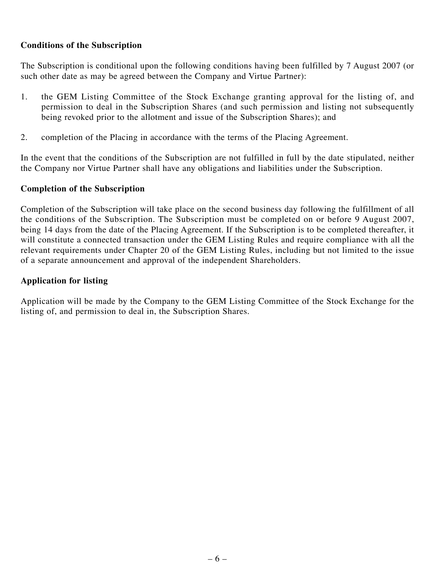#### **Conditions of the Subscription**

The Subscription is conditional upon the following conditions having been fulfilled by 7 August 2007 (or such other date as may be agreed between the Company and Virtue Partner):

- 1. the GEM Listing Committee of the Stock Exchange granting approval for the listing of, and permission to deal in the Subscription Shares (and such permission and listing not subsequently being revoked prior to the allotment and issue of the Subscription Shares); and
- 2. completion of the Placing in accordance with the terms of the Placing Agreement.

In the event that the conditions of the Subscription are not fulfilled in full by the date stipulated, neither the Company nor Virtue Partner shall have any obligations and liabilities under the Subscription.

#### **Completion of the Subscription**

Completion of the Subscription will take place on the second business day following the fulfillment of all the conditions of the Subscription. The Subscription must be completed on or before 9 August 2007, being 14 days from the date of the Placing Agreement. If the Subscription is to be completed thereafter, it will constitute a connected transaction under the GEM Listing Rules and require compliance with all the relevant requirements under Chapter 20 of the GEM Listing Rules, including but not limited to the issue of a separate announcement and approval of the independent Shareholders.

# **Application for listing**

Application will be made by the Company to the GEM Listing Committee of the Stock Exchange for the listing of, and permission to deal in, the Subscription Shares.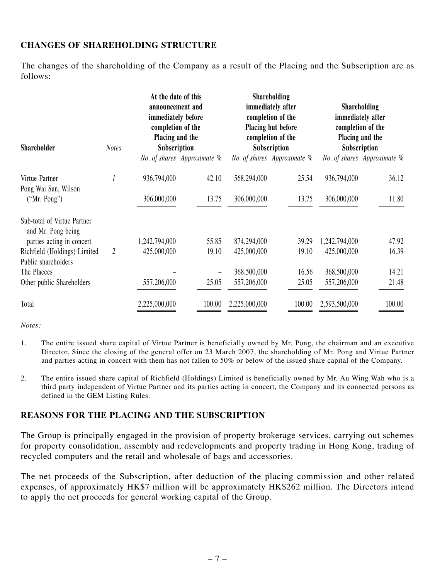# **CHANGES OF SHAREHOLDING STRUCTURE**

The changes of the shareholding of the Company as a result of the Placing and the Subscription are as follows:

| <b>Shareholder</b>                                | <b>Notes</b>   | At the date of this<br>announcement and<br>immediately before<br>completion of the<br>Placing and the<br>Subscription |                             | Shareholding<br>immediately after<br>completion of the<br>Placing but before<br>completion of the<br>Subscription |                             | <b>Shareholding</b><br>immediately after<br>completion of the<br>Placing and the<br>Subscription |                             |
|---------------------------------------------------|----------------|-----------------------------------------------------------------------------------------------------------------------|-----------------------------|-------------------------------------------------------------------------------------------------------------------|-----------------------------|--------------------------------------------------------------------------------------------------|-----------------------------|
|                                                   |                |                                                                                                                       | No. of shares Approximate % |                                                                                                                   | No. of shares Approximate % |                                                                                                  | No. of shares Approximate % |
| Virtue Partner<br>Pong Wai San, Wilson            |                | 936,794,000                                                                                                           | 42.10                       | 568,294,000                                                                                                       | 25.54                       | 936,794,000                                                                                      | 36.12                       |
| ("Mr. Pong")                                      |                | 306,000,000                                                                                                           | 13.75                       | 306,000,000                                                                                                       | 13.75                       | 306,000,000                                                                                      | 11.80                       |
| Sub-total of Virtue Partner<br>and Mr. Pong being |                |                                                                                                                       |                             |                                                                                                                   |                             |                                                                                                  |                             |
| parties acting in concert                         |                | 1,242,794,000                                                                                                         | 55.85                       | 874,294,000                                                                                                       | 39.29                       | 1,242,794,000                                                                                    | 47.92                       |
| Richfield (Holdings) Limited                      | $\overline{2}$ | 425,000,000                                                                                                           | 19.10                       | 425,000,000                                                                                                       | 19.10                       | 425,000,000                                                                                      | 16.39                       |
| Public shareholders                               |                |                                                                                                                       |                             |                                                                                                                   |                             |                                                                                                  |                             |
| The Placees                                       |                |                                                                                                                       |                             | 368,500,000                                                                                                       | 16.56                       | 368,500,000                                                                                      | 14.21                       |
| Other public Shareholders                         |                | 557,206,000                                                                                                           | 25.05                       | 557,206,000                                                                                                       | 25.05                       | 557,206,000                                                                                      | 21.48                       |
| Total                                             |                | 2,225,000,000                                                                                                         | 100.00                      | 2,225,000,000                                                                                                     | 100.00                      | 2,593,500,000                                                                                    | 100.00                      |

*Notes:*

- 1. The entire issued share capital of Virtue Partner is beneficially owned by Mr. Pong, the chairman and an executive Director. Since the closing of the general offer on 23 March 2007, the shareholding of Mr. Pong and Virtue Partner and parties acting in concert with them has not fallen to 50% or below of the issued share capital of the Company.
- 2. The entire issued share capital of Richfield (Holdings) Limited is beneficially owned by Mr. Au Wing Wah who is a third party independent of Virtue Partner and its parties acting in concert, the Company and its connected persons as defined in the GEM Listing Rules.

# **REASONS FOR THE PLACING AND THE SUBSCRIPTION**

The Group is principally engaged in the provision of property brokerage services, carrying out schemes for property consolidation, assembly and redevelopments and property trading in Hong Kong, trading of recycled computers and the retail and wholesale of bags and accessories.

The net proceeds of the Subscription, after deduction of the placing commission and other related expenses, of approximately HK\$7 million will be approximately HK\$262 million. The Directors intend to apply the net proceeds for general working capital of the Group.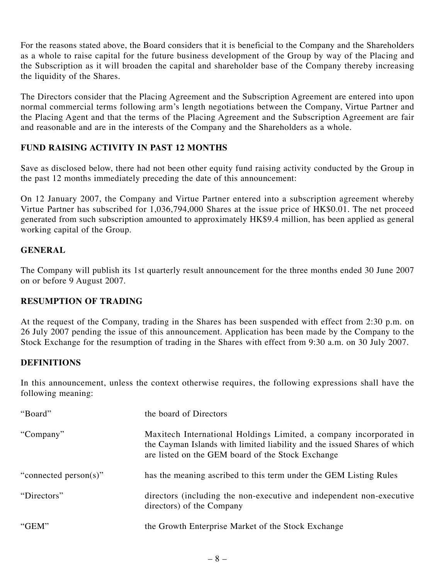For the reasons stated above, the Board considers that it is beneficial to the Company and the Shareholders as a whole to raise capital for the future business development of the Group by way of the Placing and the Subscription as it will broaden the capital and shareholder base of the Company thereby increasing the liquidity of the Shares.

The Directors consider that the Placing Agreement and the Subscription Agreement are entered into upon normal commercial terms following arm's length negotiations between the Company, Virtue Partner and the Placing Agent and that the terms of the Placing Agreement and the Subscription Agreement are fair and reasonable and are in the interests of the Company and the Shareholders as a whole.

# **FUND RAISING ACTIVITY IN PAST 12 MONTHS**

Save as disclosed below, there had not been other equity fund raising activity conducted by the Group in the past 12 months immediately preceding the date of this announcement:

On 12 January 2007, the Company and Virtue Partner entered into a subscription agreement whereby Virtue Partner has subscribed for 1,036,794,000 Shares at the issue price of HK\$0.01. The net proceed generated from such subscription amounted to approximately HK\$9.4 million, has been applied as general working capital of the Group.

# **GENERAL**

The Company will publish its 1st quarterly result announcement for the three months ended 30 June 2007 on or before 9 August 2007.

# **RESUMPTION OF TRADING**

At the request of the Company, trading in the Shares has been suspended with effect from 2:30 p.m. on 26 July 2007 pending the issue of this announcement. Application has been made by the Company to the Stock Exchange for the resumption of trading in the Shares with effect from 9:30 a.m. on 30 July 2007.

# **DEFINITIONS**

In this announcement, unless the context otherwise requires, the following expressions shall have the following meaning:

| "Board"               | the board of Directors                                                                                                                                                                              |
|-----------------------|-----------------------------------------------------------------------------------------------------------------------------------------------------------------------------------------------------|
| "Company"             | Maxitech International Holdings Limited, a company incorporated in<br>the Cayman Islands with limited liability and the issued Shares of which<br>are listed on the GEM board of the Stock Exchange |
| "connected person(s)" | has the meaning ascribed to this term under the GEM Listing Rules                                                                                                                                   |
| "Directors"           | directors (including the non-executive and independent non-executive<br>directors) of the Company                                                                                                   |
| "GEM"                 | the Growth Enterprise Market of the Stock Exchange                                                                                                                                                  |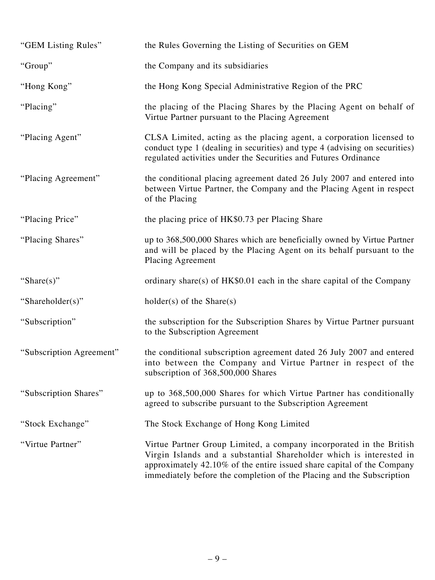| "GEM Listing Rules"      | the Rules Governing the Listing of Securities on GEM                                                                                                                                                                                                                                          |
|--------------------------|-----------------------------------------------------------------------------------------------------------------------------------------------------------------------------------------------------------------------------------------------------------------------------------------------|
| "Group"                  | the Company and its subsidiaries                                                                                                                                                                                                                                                              |
| "Hong Kong"              | the Hong Kong Special Administrative Region of the PRC                                                                                                                                                                                                                                        |
| "Placing"                | the placing of the Placing Shares by the Placing Agent on behalf of<br>Virtue Partner pursuant to the Placing Agreement                                                                                                                                                                       |
| "Placing Agent"          | CLSA Limited, acting as the placing agent, a corporation licensed to<br>conduct type 1 (dealing in securities) and type 4 (advising on securities)<br>regulated activities under the Securities and Futures Ordinance                                                                         |
| "Placing Agreement"      | the conditional placing agreement dated 26 July 2007 and entered into<br>between Virtue Partner, the Company and the Placing Agent in respect<br>of the Placing                                                                                                                               |
| "Placing Price"          | the placing price of HK\$0.73 per Placing Share                                                                                                                                                                                                                                               |
| "Placing Shares"         | up to 368,500,000 Shares which are beneficially owned by Virtue Partner<br>and will be placed by the Placing Agent on its behalf pursuant to the<br><b>Placing Agreement</b>                                                                                                                  |
| "Share $(s)$ "           | ordinary share(s) of $HK$0.01$ each in the share capital of the Company                                                                                                                                                                                                                       |
| "Shareholder(s)"         | $holder(s)$ of the Share(s)                                                                                                                                                                                                                                                                   |
| "Subscription"           | the subscription for the Subscription Shares by Virtue Partner pursuant<br>to the Subscription Agreement                                                                                                                                                                                      |
| "Subscription Agreement" | the conditional subscription agreement dated 26 July 2007 and entered<br>into between the Company and Virtue Partner in respect of the<br>subscription of 368,500,000 Shares                                                                                                                  |
| "Subscription Shares"    | up to 368,500,000 Shares for which Virtue Partner has conditionally<br>agreed to subscribe pursuant to the Subscription Agreement                                                                                                                                                             |
| "Stock Exchange"         | The Stock Exchange of Hong Kong Limited                                                                                                                                                                                                                                                       |
| "Virtue Partner"         | Virtue Partner Group Limited, a company incorporated in the British<br>Virgin Islands and a substantial Shareholder which is interested in<br>approximately 42.10% of the entire issued share capital of the Company<br>immediately before the completion of the Placing and the Subscription |